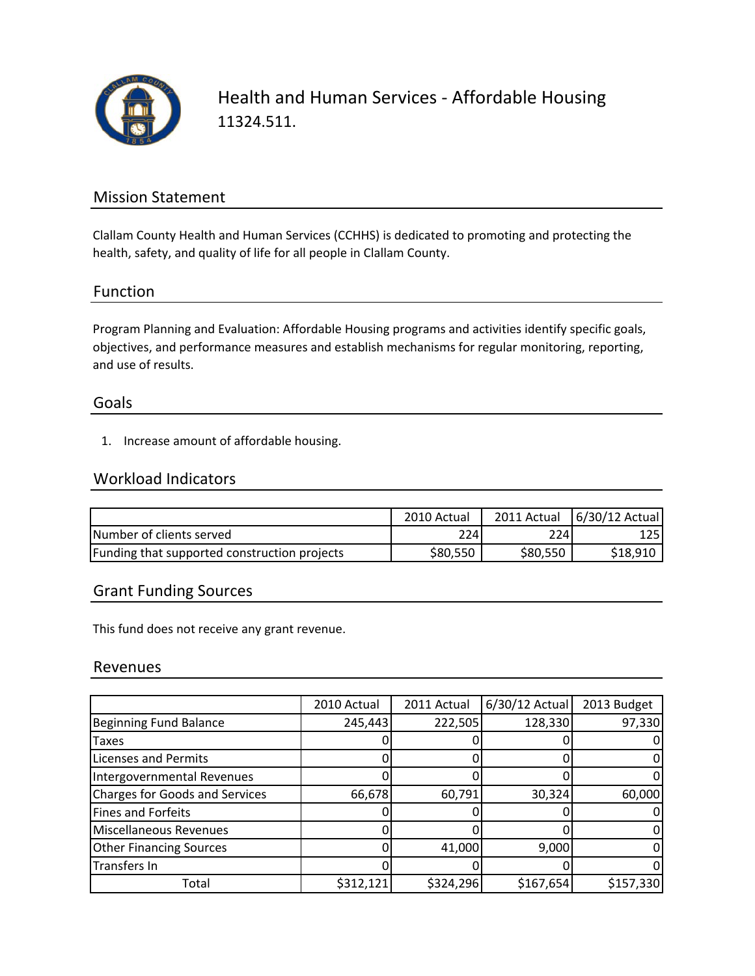

Health and Human Services ‐ Affordable Housing 11324.511.

## Mission Statement

Clallam County Health and Human Services (CCHHS) is dedicated to promoting and protecting the health, safety, and quality of life for all people in Clallam County.

### Function

Program Planning and Evaluation: Affordable Housing programs and activities identify specific goals, objectives, and performance measures and establish mechanisms for regular monitoring, reporting, and use of results.

### Goals

1. Increase amount of affordable housing.

## Workload Indicators

|                                              | 2010 Actual | 2011 Actual | 6/30/12 Actual |
|----------------------------------------------|-------------|-------------|----------------|
| Number of clients served                     | 2241        | 224         | 1251           |
| Funding that supported construction projects | \$80,550    | \$80,550    | \$18,910       |

## Grant Funding Sources

This fund does not receive any grant revenue.

### Revenues

|                                       | 2010 Actual | 2011 Actual | 6/30/12 Actual | 2013 Budget |
|---------------------------------------|-------------|-------------|----------------|-------------|
| <b>Beginning Fund Balance</b>         | 245,443     | 222,505     | 128,330        | 97,330      |
| <b>Taxes</b>                          |             |             |                |             |
| <b>Licenses and Permits</b>           |             |             |                |             |
| Intergovernmental Revenues            |             |             |                |             |
| <b>Charges for Goods and Services</b> | 66,678      | 60,791      | 30,324         | 60,000      |
| Fines and Forfeits                    |             |             |                |             |
| Miscellaneous Revenues                |             |             |                |             |
| <b>Other Financing Sources</b>        |             | 41,000      | 9,000          |             |
| Transfers In                          |             |             |                |             |
| Total                                 | \$312,121   | \$324,296   | \$167,654      | \$157,330   |